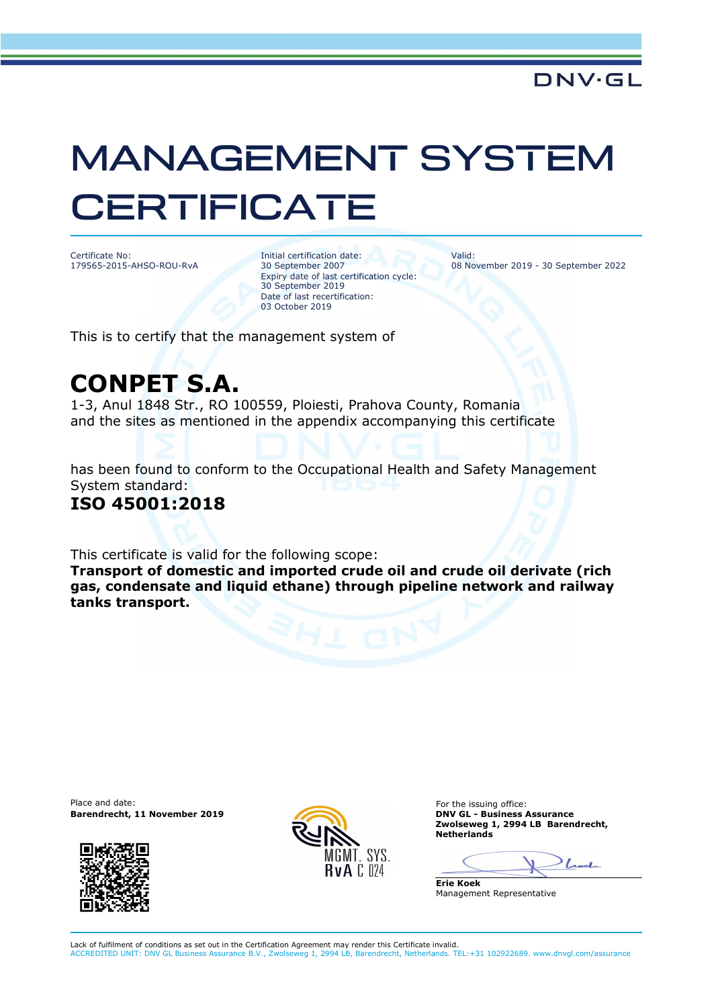# MANAGEMENT SYSTEM **CERTIFICATE**

Certificate No: 179565-2015-AHSO-ROU-RvA Initial certification date: 30 September 2007 Expiry date of last certification cycle: 30 September 2019 Date of last recertification: 03 October 2019

Valid: 08 November 2019 - 30 September 2022

This is to certify that the management system of

## **CONPET S.A.**

1-3, Anul 1848 Str., RO 100559, Ploiesti, Prahova County, Romania and the sites as mentioned in the appendix accompanying this certificate

has been found to conform to the Occupational Health and Safety Management System standard:

### **ISO 45001:2018**

This certificate is valid for the following scope:

**Transport of domestic and imported crude oil and crude oil derivate (rich gas, condensate and liquid ethane) through pipeline network and railway tanks transport.** 

Place and date: **Barendrecht, 11 November 2019 DNV GL - Business Assurance** 





For the issuing office: **Zwolseweg 1, 2994 LB Barendrecht, Netherlands** 

Look

**Erie Koek** Management Representative

Lack of fulfilment of conditions as set out in the Certification Agreement may render this Certificate invalid. ACCREDITED UNIT: DNV GL Business Assurance B.V., Zwolseweg 1, 2994 LB, Barendrecht, Netherlands. TEL:+31 102922689. www.dnvgl.com/assurance